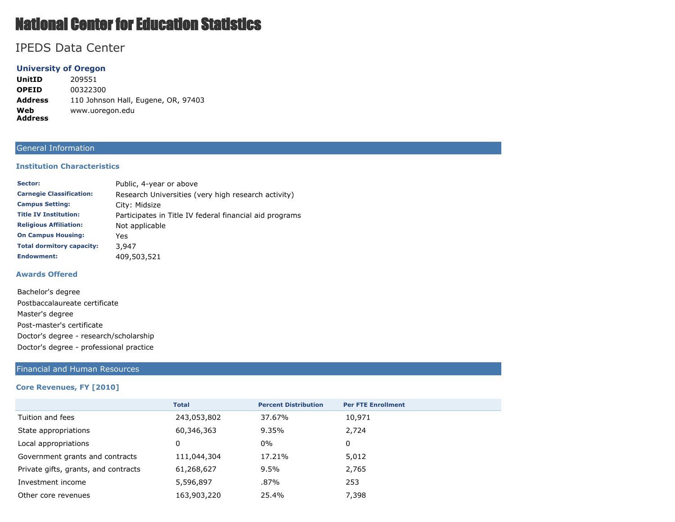# National Center for Education Statistics

# IPEDS Data Center

# **University of Oregon**

**UnitID** 209551 **OPEID** 00322300 **Address** 110 Johnson Hall, Eugene, OR, 97403 **Web Address** www.uoregon.edu

# General Information

#### **Institution Characteristics**

| Sector:                          | Public, 4-year or above                                 |
|----------------------------------|---------------------------------------------------------|
| <b>Carnegie Classification:</b>  | Research Universities (very high research activity)     |
| <b>Campus Setting:</b>           | City: Midsize                                           |
| <b>Title IV Institution:</b>     | Participates in Title IV federal financial aid programs |
| <b>Religious Affiliation:</b>    | Not applicable                                          |
| <b>On Campus Housing:</b>        | Yes                                                     |
| <b>Total dormitory capacity:</b> | 3.947                                                   |
| <b>Endowment:</b>                | 409,503,521                                             |

#### **Awards Offered**

| Bachelor's degree                       |  |  |
|-----------------------------------------|--|--|
| Postbaccalaureate certificate           |  |  |
| Master's degree                         |  |  |
| Post-master's certificate               |  |  |
| Doctor's degree - research/scholarship  |  |  |
| Doctor's degree - professional practice |  |  |

#### Financial and Human Resources

#### **Core Revenues, FY [2010]**

|                                      | <b>Total</b> | <b>Percent Distribution</b> | <b>Per FTE Enrollment</b> |  |
|--------------------------------------|--------------|-----------------------------|---------------------------|--|
| Tuition and fees                     | 243,053,802  | 37.67%                      | 10,971                    |  |
| State appropriations                 | 60,346,363   | 9.35%                       | 2,724                     |  |
| Local appropriations                 | 0            | 0%                          | 0                         |  |
| Government grants and contracts      | 111,044,304  | 17.21%                      | 5,012                     |  |
| Private gifts, grants, and contracts | 61,268,627   | 9.5%                        | 2,765                     |  |
| Investment income                    | 5,596,897    | .87%                        | 253                       |  |
| Other core revenues                  | 163,903,220  | 25.4%                       | 7,398                     |  |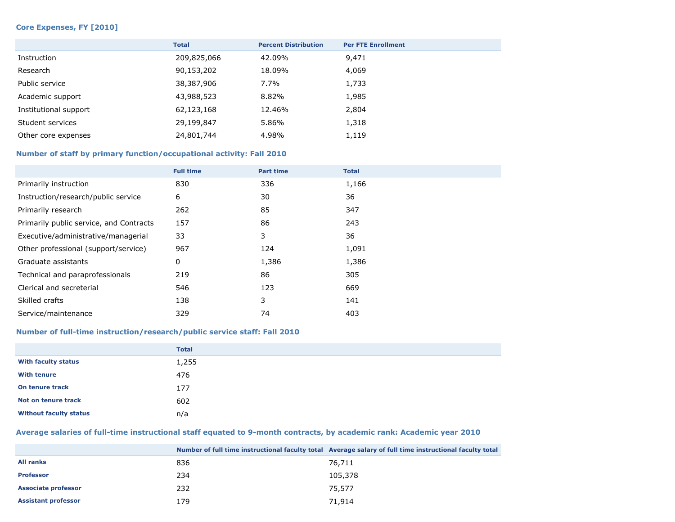#### **Core Expenses, FY [2010]**

|                       | <b>Total</b> | <b>Percent Distribution</b> | <b>Per FTE Enrollment</b> |
|-----------------------|--------------|-----------------------------|---------------------------|
| Instruction           | 209,825,066  | 42.09%                      | 9,471                     |
| Research              | 90,153,202   | 18.09%                      | 4,069                     |
| Public service        | 38,387,906   | 7.7%                        | 1,733                     |
| Academic support      | 43,988,523   | 8.82%                       | 1,985                     |
| Institutional support | 62,123,168   | 12.46%                      | 2,804                     |
| Student services      | 29,199,847   | 5.86%                       | 1,318                     |
| Other core expenses   | 24,801,744   | 4.98%                       | 1,119                     |

# **Number of staff by primary function/occupational activity: Fall 2010**

|                                         | <b>Full time</b> | <b>Part time</b> | <b>Total</b> |
|-----------------------------------------|------------------|------------------|--------------|
| Primarily instruction                   | 830              | 336              | 1,166        |
| Instruction/research/public service     | 6                | 30               | 36           |
| Primarily research                      | 262              | 85               | 347          |
| Primarily public service, and Contracts | 157              | 86               | 243          |
| Executive/administrative/managerial     | 33               | 3                | 36           |
| Other professional (support/service)    | 967              | 124              | 1,091        |
| Graduate assistants                     | 0                | 1,386            | 1,386        |
| Technical and paraprofessionals         | 219              | 86               | 305          |
| Clerical and secreterial                | 546              | 123              | 669          |
| Skilled crafts                          | 138              | 3                | 141          |
| Service/maintenance                     | 329              | 74               | 403          |

#### **Number of full-time instruction/research/public service staff: Fall 2010**

|                               | <b>Total</b> |
|-------------------------------|--------------|
| <b>With faculty status</b>    | 1,255        |
| <b>With tenure</b>            | 476          |
| On tenure track               | 177          |
| Not on tenure track           | 602          |
| <b>Without faculty status</b> | n/a          |

#### **Average salaries of full-time instructional staff equated to 9-month contracts, by academic rank: Academic year 2010**

|                            |     | Number of full time instructional faculty total Average salary of full time instructional faculty total |
|----------------------------|-----|---------------------------------------------------------------------------------------------------------|
| <b>All ranks</b>           | 836 | 76,711                                                                                                  |
| <b>Professor</b>           | 234 | 105,378                                                                                                 |
| <b>Associate professor</b> | 232 | 75,577                                                                                                  |
| <b>Assistant professor</b> | 179 | 71,914                                                                                                  |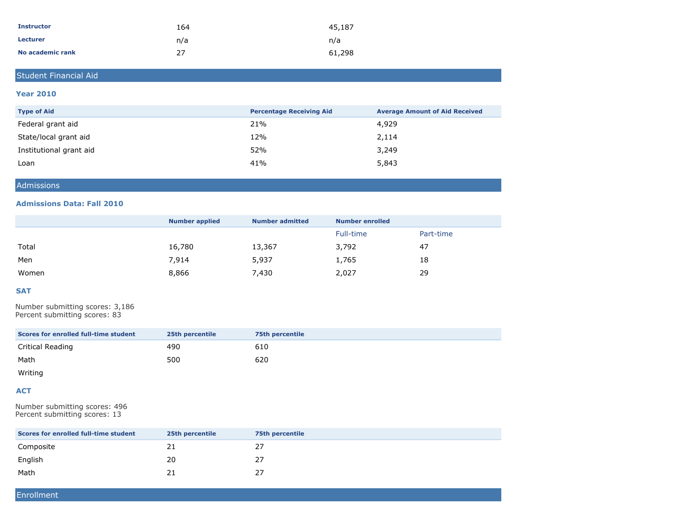| <b>Instructor</b> | 164 | 45,187 |
|-------------------|-----|--------|
| <b>Lecturer</b>   | n/a | n/a    |
| No academic rank  | 27  | 61,298 |

# Student Financial Aid

#### **Year 2010**

| <b>Type of Aid</b>      | <b>Percentage Receiving Aid</b> | <b>Average Amount of Aid Received</b> |
|-------------------------|---------------------------------|---------------------------------------|
| Federal grant aid       | 21%                             | 4,929                                 |
| State/local grant aid   | 12%                             | 2,114                                 |
| Institutional grant aid | 52%                             | 3,249                                 |
| Loan                    | 41%                             | 5,843                                 |

#### Admissions

#### **Admissions Data: Fall 2010**

|       | <b>Number applied</b> | <b>Number admitted</b> | <b>Number enrolled</b> |           |
|-------|-----------------------|------------------------|------------------------|-----------|
|       |                       |                        | Full-time              | Part-time |
| Total | 16,780                | 13,367                 | 3,792                  | 47        |
| Men   | 7,914                 | 5,937                  | 1,765                  | 18        |
| Women | 8,866                 | 7,430                  | 2,027                  | 29        |

#### **SAT**

Number submitting scores: 3,186 Percent submitting scores: 83

| Scores for enrolled full-time student | 25th percentile | 75th percentile |
|---------------------------------------|-----------------|-----------------|
| Critical Reading                      | 490             | 610             |
| Math                                  | 500             | 620             |

Writing

#### **ACT**

Number submitting scores: 496 Percent submitting scores: 13

| Scores for enrolled full-time student | 25th percentile | 75th percentile |
|---------------------------------------|-----------------|-----------------|
| Composite                             | 21              | 27              |
| English                               | 20              | 27              |
| Math                                  |                 | 27              |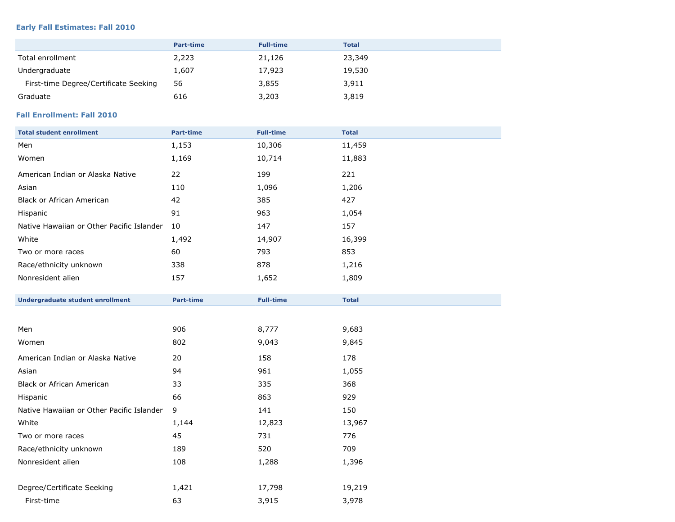#### **Early Fall Estimates: Fall 2010**

|                                       | <b>Part-time</b> | <b>Full-time</b> | <b>Total</b> |
|---------------------------------------|------------------|------------------|--------------|
| Total enrollment                      | 2,223            | 21,126           | 23,349       |
| Undergraduate                         | 1,607            | 17,923           | 19,530       |
| First-time Degree/Certificate Seeking | 56               | 3,855            | 3,911        |
| Graduate                              | 616              | 3,203            | 3,819        |

# **Fall Enrollment: Fall 2010**

| <b>Total student enrollment</b>           | <b>Part-time</b> | <b>Full-time</b> | <b>Total</b> |
|-------------------------------------------|------------------|------------------|--------------|
| Men                                       | 1,153            | 10,306           | 11,459       |
| Women                                     | 1,169            | 10,714           | 11,883       |
| American Indian or Alaska Native          | 22               | 199              | 221          |
| Asian                                     | 110              | 1,096            | 1,206        |
| <b>Black or African American</b>          | 42               | 385              | 427          |
| Hispanic                                  | 91               | 963              | 1,054        |
| Native Hawaiian or Other Pacific Islander | 10               | 147              | 157          |
| White                                     | 1,492            | 14,907           | 16,399       |
| Two or more races                         | 60               | 793              | 853          |
| Race/ethnicity unknown                    | 338              | 878              | 1,216        |
| Nonresident alien                         | 157              | 1,652            | 1,809        |
|                                           |                  |                  |              |
| <b>Undergraduate student enrollment</b>   | <b>Part-time</b> | <b>Full-time</b> | <b>Total</b> |
|                                           |                  |                  |              |
| Men                                       | 906              | 8,777            | 9,683        |
| Women                                     | 802              | 9,043            | 9,845        |
| American Indian or Alaska Native          | 20               | 158              | 178          |
| Asian                                     | 94               | 961              | 1,055        |
| Black or African American                 | 33               | 335              | 368          |
| Hispanic                                  | 66               | 863              | 929          |
| Native Hawaiian or Other Pacific Islander | 9                | 141              | 150          |
| White                                     | 1,144            | 12,823           | 13,967       |
| Two or more races                         | 45               | 731              | 776          |
| Race/ethnicity unknown                    | 189              | 520              | 709          |
| Nonresident alien                         | 108              | 1,288            | 1,396        |
| Degree/Certificate Seeking                | 1,421            | 17,798           | 19,219       |
|                                           |                  |                  |              |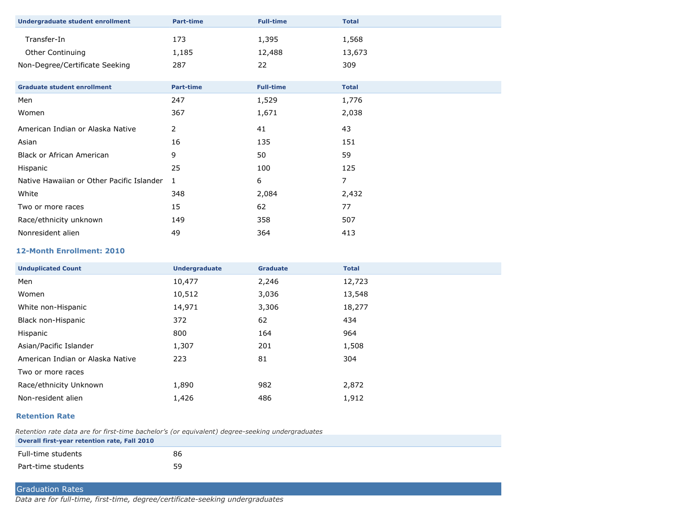| <b>Undergraduate student enrollment</b>   | <b>Part-time</b> | <b>Full-time</b> | <b>Total</b>   |
|-------------------------------------------|------------------|------------------|----------------|
| Transfer-In                               | 173              | 1,395            | 1,568          |
| Other Continuing                          | 1,185            | 12,488           | 13,673         |
| Non-Degree/Certificate Seeking            | 287              | 22               | 309            |
|                                           |                  |                  |                |
| <b>Graduate student enrollment</b>        | <b>Part-time</b> | <b>Full-time</b> | <b>Total</b>   |
| Men                                       | 247              | 1,529            | 1,776          |
| Women                                     | 367              | 1,671            | 2,038          |
| American Indian or Alaska Native          | 2                | 41               | 43             |
| Asian                                     | 16               | 135              | 151            |
| <b>Black or African American</b>          | 9                | 50               | 59             |
| Hispanic                                  | 25               | 100              | 125            |
| Native Hawaiian or Other Pacific Islander | 1                | 6                | $\overline{7}$ |
| White                                     | 348              | 2,084            | 2,432          |
| Two or more races                         | 15               | 62               | 77             |
| Race/ethnicity unknown                    | 149              | 358              | 507            |
| Nonresident alien                         | 49               | 364              | 413            |

#### **12-Month Enrollment: 2010**

| <b>Unduplicated Count</b>        | <b>Undergraduate</b> | <b>Graduate</b> | <b>Total</b> |
|----------------------------------|----------------------|-----------------|--------------|
| Men                              | 10,477               | 2,246           | 12,723       |
| Women                            | 10,512               | 3,036           | 13,548       |
| White non-Hispanic               | 14,971               | 3,306           | 18,277       |
| Black non-Hispanic               | 372                  | 62              | 434          |
| Hispanic                         | 800                  | 164             | 964          |
| Asian/Pacific Islander           | 1,307                | 201             | 1,508        |
| American Indian or Alaska Native | 223                  | 81              | 304          |
| Two or more races                |                      |                 |              |
| Race/ethnicity Unknown           | 1,890                | 982             | 2,872        |
| Non-resident alien               | 1,426                | 486             | 1,912        |

#### **Retention Rate**

*Retention rate data are for first-time bachelor's (or equivalent) degree-seeking undergraduates* **Overall first-year retention rate, Fall 2010**

| Full-time students | 86 |
|--------------------|----|
| Part-time students | 59 |

# Graduation Rates

*Data are for full-time, first-time, degree/certificate-seeking undergraduates*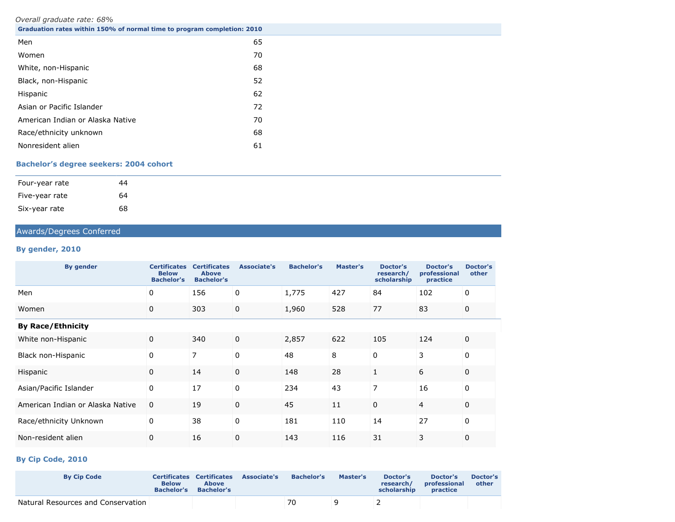#### *Overall graduate rate: 68%*

| Graduation rates within 150% of normal time to program completion: 2010 |    |
|-------------------------------------------------------------------------|----|
| Men                                                                     | 65 |
| Women                                                                   | 70 |
| White, non-Hispanic                                                     | 68 |
| Black, non-Hispanic                                                     | 52 |
| Hispanic                                                                | 62 |
| Asian or Pacific Islander                                               | 72 |
| American Indian or Alaska Native                                        | 70 |
| Race/ethnicity unknown                                                  | 68 |
| Nonresident alien                                                       | 61 |

# **Bachelor's degree seekers: 2004 cohort**

| Four-year rate | 44 |
|----------------|----|
| Five-year rate | 64 |
| Six-year rate  | 68 |

# Awards/Degrees Conferred

# **By gender, 2010**

| <b>By gender</b>                 | <b>Certificates</b><br><b>Below</b><br><b>Bachelor's</b> | <b>Certificates</b><br><b>Above</b><br><b>Bachelor's</b> | Associate's | <b>Bachelor's</b> | Master's | <b>Doctor's</b><br>research/<br>scholarship | Doctor's<br>professional<br>practice | Doctor's<br>other |
|----------------------------------|----------------------------------------------------------|----------------------------------------------------------|-------------|-------------------|----------|---------------------------------------------|--------------------------------------|-------------------|
| Men                              | 0                                                        | 156                                                      | 0           | 1,775             | 427      | 84                                          | 102                                  | 0                 |
| Women                            | 0                                                        | 303                                                      | 0           | 1,960             | 528      | 77                                          | 83                                   | 0                 |
| <b>By Race/Ethnicity</b>         |                                                          |                                                          |             |                   |          |                                             |                                      |                   |
| White non-Hispanic               | 0                                                        | 340                                                      | $\mathbf 0$ | 2,857             | 622      | 105                                         | 124                                  | 0                 |
| Black non-Hispanic               | 0                                                        | 7                                                        | $\Omega$    | 48                | 8        | $\Omega$                                    | 3                                    | $\Omega$          |
| Hispanic                         | 0                                                        | 14                                                       | $\Omega$    | 148               | 28       |                                             | 6                                    | 0                 |
| Asian/Pacific Islander           | 0                                                        | 17                                                       | 0           | 234               | 43       | 7                                           | 16                                   | 0                 |
| American Indian or Alaska Native | $\mathbf 0$                                              | 19                                                       | $\Omega$    | 45                | 11       | $\Omega$                                    | 4                                    | 0                 |
| Race/ethnicity Unknown           | 0                                                        | 38                                                       | 0           | 181               | 110      | 14                                          | 27                                   | 0                 |
| Non-resident alien               | 0                                                        | 16                                                       | $\mathbf 0$ | 143               | 116      | 31                                          | 3                                    | 0                 |

# **By Cip Code, 2010**

| <b>By Cip Code</b>                 | <b>Below</b><br><b>Bachelor's</b> | <b>Certificates Certificates</b><br><b>Above</b><br><b>Bachelor's</b> | Associate's | <b>Bachelor's</b> | Master's | Doctor's<br>research/<br>scholarship | Doctor's<br>professional<br>practice | Doctor's<br>other |
|------------------------------------|-----------------------------------|-----------------------------------------------------------------------|-------------|-------------------|----------|--------------------------------------|--------------------------------------|-------------------|
| Natural Resources and Conservation |                                   |                                                                       |             | 70                |          |                                      |                                      |                   |